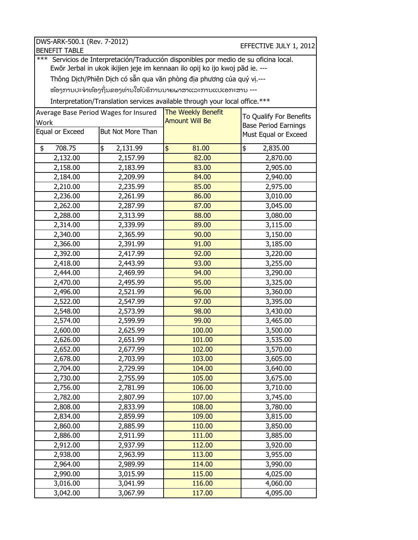| DWS-ARK-500.1 (Rev. 7-2012)<br><b>BENEFIT TABLE</b>                                               |                   |             | EFFECTIVE JULY 1, 2012      |  |  |  |  |
|---------------------------------------------------------------------------------------------------|-------------------|-------------|-----------------------------|--|--|--|--|
| Servicios de Interpretación/Traducción disponibles por medio de su oficina local.<br>***          |                   |             |                             |  |  |  |  |
| Ewōr Jerbal in ukok ikijien jeje im kennaan ilo opij ko ijo kwoj pād ie. ---                      |                   |             |                             |  |  |  |  |
| Thông Dịch/Phiên Dịch có sẵn qua văn phòng địa phương của quý vị.---                              |                   |             |                             |  |  |  |  |
| ຫ້ອງການປະຈຳທ້ອງຖິ່ນຂອງທ່ານໃຫ້ບໍຣິການນາຍພາສາແລະການແປເອກະສານ ---                                    |                   |             |                             |  |  |  |  |
|                                                                                                   |                   |             |                             |  |  |  |  |
| Interpretation/Translation services available through your local office.***<br>The Weekly Benefit |                   |             |                             |  |  |  |  |
| Average Base Period Wages for Insured<br>To Qualify For Benefits<br><b>Amount Will Be</b>         |                   |             |                             |  |  |  |  |
| Work<br>Equal or Exceed                                                                           | But Not More Than |             | <b>Base Period Earnings</b> |  |  |  |  |
|                                                                                                   |                   |             | Must Equal or Exceed        |  |  |  |  |
| 708.75<br>\$                                                                                      | \$<br>2,131.99    | \$<br>81.00 | \$<br>2,835.00              |  |  |  |  |
| 2,132.00                                                                                          | 2,157.99          | 82.00       | 2,870.00                    |  |  |  |  |
| 2,158.00                                                                                          | 2,183.99          | 83.00       | 2,905.00                    |  |  |  |  |
| 2,184.00                                                                                          | 2,209.99          | 84.00       | 2,940.00                    |  |  |  |  |
| 2,210.00                                                                                          | 2,235.99          | 85.00       | 2,975.00                    |  |  |  |  |
| 2,236.00                                                                                          | 2,261.99          | 86.00       | 3,010.00                    |  |  |  |  |
| 2,262.00                                                                                          | 2,287.99          | 87.00       | 3,045.00                    |  |  |  |  |
| 2,288.00                                                                                          | 2,313.99          | 88.00       | 3,080.00                    |  |  |  |  |
| 2,314.00                                                                                          | 2,339.99          | 89.00       | 3,115.00                    |  |  |  |  |
| 2,340.00                                                                                          | 2,365.99          | 90.00       | 3,150.00                    |  |  |  |  |
| 2,366.00                                                                                          | 2,391.99          | 91.00       | 3,185.00                    |  |  |  |  |
| 2,392.00                                                                                          | 2,417.99          | 92.00       | 3,220.00                    |  |  |  |  |
| 2,418.00                                                                                          | 2,443.99          | 93.00       | 3,255.00                    |  |  |  |  |
| 2,444.00                                                                                          | 2,469.99          | 94.00       | 3,290.00                    |  |  |  |  |
| 2,470.00                                                                                          | 2,495.99          | 95.00       | 3,325.00                    |  |  |  |  |
| 2,496.00                                                                                          | 2,521.99          | 96.00       | 3,360.00                    |  |  |  |  |
| 2,522.00                                                                                          | 2,547.99          | 97.00       | 3,395.00                    |  |  |  |  |
| 2,548.00                                                                                          | 2,573.99          | 98.00       | 3,430.00                    |  |  |  |  |
| 2,574.00                                                                                          | 2,599.99          | 99.00       | 3,465.00                    |  |  |  |  |
| 2,600.00                                                                                          | 2,625.99          | 100.00      | 3,500.00                    |  |  |  |  |
| 2,626.00                                                                                          | 2,651.99          | 101.00      | 3,535.00                    |  |  |  |  |
| 2,652.00                                                                                          | 2,677.99          | 102.00      | 3,570.00                    |  |  |  |  |
| 2,678.00                                                                                          | 2,703.99          | 103.00      | 3,605.00                    |  |  |  |  |
| 2,704.00                                                                                          | 2,729.99          | 104.00      | 3,640.00                    |  |  |  |  |
| 2,730.00                                                                                          | 2,755.99          | 105.00      | 3,675.00                    |  |  |  |  |
| 2,756.00                                                                                          | 2,781.99          | 106.00      | 3,710.00                    |  |  |  |  |
| 2,782.00                                                                                          | 2,807.99          | 107.00      | 3,745.00                    |  |  |  |  |
| 2,808.00                                                                                          | 2,833.99          | 108.00      | 3,780.00                    |  |  |  |  |
| 2,834.00                                                                                          | 2,859.99          | 109.00      | 3,815.00                    |  |  |  |  |
| 2,860.00                                                                                          | 2,885.99          | 110.00      | 3,850.00                    |  |  |  |  |
| 2,886.00                                                                                          | 2,911.99          | 111.00      | 3,885.00                    |  |  |  |  |
| 2,912.00                                                                                          | 2,937.99          | 112.00      | 3,920.00                    |  |  |  |  |
| 2,938.00                                                                                          | 2,963.99          | 113.00      | 3,955.00                    |  |  |  |  |
| 2,964.00                                                                                          | 2,989.99          | 114.00      | 3,990.00                    |  |  |  |  |
| 2,990.00                                                                                          | 3,015.99          | 115.00      | 4,025.00                    |  |  |  |  |
| 3,016.00                                                                                          | 3,041.99          | 116.00      | 4,060.00                    |  |  |  |  |
| 3,042.00                                                                                          | 3,067.99          | 117.00      | 4,095.00                    |  |  |  |  |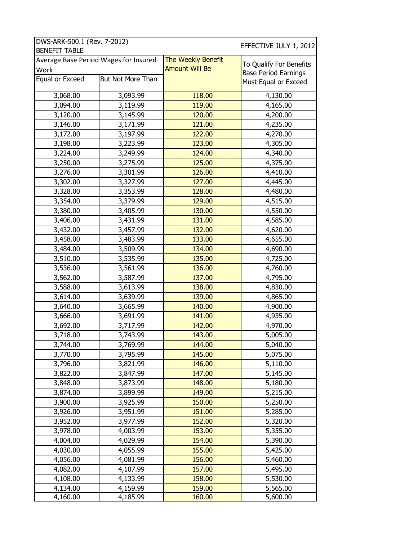| <b>BENEFIT TABLE</b>                  | DWS-ARK-500.1 (Rev. 7-2012)<br>EFFECTIVE JULY 1, 2012 |                       |                                                        |  |  |  |  |
|---------------------------------------|-------------------------------------------------------|-----------------------|--------------------------------------------------------|--|--|--|--|
| Average Base Period Wages for Insured |                                                       | The Weekly Benefit    |                                                        |  |  |  |  |
| Work                                  |                                                       | <b>Amount Will Be</b> | To Qualify For Benefits<br><b>Base Period Earnings</b> |  |  |  |  |
| Equal or Exceed                       | But Not More Than                                     |                       | Must Equal or Exceed                                   |  |  |  |  |
| 3,068.00                              | 3,093.99                                              | 118.00                | 4,130.00                                               |  |  |  |  |
| 3,094.00                              | 3,119.99                                              | 119.00                | 4,165.00                                               |  |  |  |  |
| 3,120.00                              | 3,145.99                                              | 120.00                | 4,200.00                                               |  |  |  |  |
| 3,146.00                              | 3,171.99                                              | 121.00                | 4,235.00                                               |  |  |  |  |
| 3,172.00                              | 3,197.99                                              | 122.00                | 4,270.00                                               |  |  |  |  |
| 3,198.00                              | 3,223.99                                              | 123.00                | 4,305.00                                               |  |  |  |  |
| 3,224.00                              | 3,249.99                                              | 124.00                | 4,340.00                                               |  |  |  |  |
| 3,250.00                              | 3,275.99                                              | 125.00                | 4,375.00                                               |  |  |  |  |
| 3,276.00                              | 3,301.99                                              | 126.00                | 4,410.00                                               |  |  |  |  |
| 3,302.00                              | 3,327.99                                              | 127.00                | 4,445.00                                               |  |  |  |  |
| 3,328.00                              | 3,353.99                                              | 128.00                | 4,480.00                                               |  |  |  |  |
| 3,354.00                              | 3,379.99                                              | 129.00                | 4,515.00                                               |  |  |  |  |
| 3,380.00                              | 3,405.99                                              | 130.00                | 4,550.00                                               |  |  |  |  |
| 3,406.00                              | 3,431.99                                              | 131.00                | 4,585.00                                               |  |  |  |  |
| 3,432.00                              | 3,457.99                                              | 132.00                | 4,620.00                                               |  |  |  |  |
| 3,458.00                              | 3,483.99                                              | 133.00                | 4,655.00                                               |  |  |  |  |
| 3,484.00                              | 3,509.99                                              | 134.00                | 4,690.00                                               |  |  |  |  |
| 3,510.00                              | 3,535.99                                              | 135.00                | 4,725.00                                               |  |  |  |  |
| 3,536.00                              | 3,561.99                                              | 136.00                | 4,760.00                                               |  |  |  |  |
| 3,562.00                              | 3,587.99                                              | 137.00                | 4,795.00                                               |  |  |  |  |
| 3,588.00                              | 3,613.99                                              | 138.00                | 4,830.00                                               |  |  |  |  |
| 3,614.00                              | 3,639.99                                              | 139.00                | 4,865.00                                               |  |  |  |  |
| 3,640.00                              | 3,665.99                                              | 140.00                | 4,900.00                                               |  |  |  |  |
| 3,666.00                              | 3,691.99                                              | 141.00                | 4,935.00                                               |  |  |  |  |
| 3,692.00                              | 3,717.99                                              | 142.00                | 4,970.00                                               |  |  |  |  |
| 3,718.00                              | 3,743.99                                              | 143.00                | 5,005.00                                               |  |  |  |  |
| 3,744.00                              | 3,769.99                                              | 144.00                | 5,040.00                                               |  |  |  |  |
| 3,770.00                              | 3,795.99                                              | 145.00                | 5,075.00                                               |  |  |  |  |
| 3,796.00                              | 3,821.99                                              | 146.00                | 5,110.00                                               |  |  |  |  |
| 3,822.00                              | 3,847.99                                              | 147.00                | 5,145.00                                               |  |  |  |  |
| 3,848.00                              | 3,873.99                                              | 148.00                | 5,180.00                                               |  |  |  |  |
| 3,874.00                              | 3,899.99                                              | 149.00                | 5,215.00                                               |  |  |  |  |
| 3,900.00                              | 3,925.99                                              | 150.00                | 5,250.00                                               |  |  |  |  |
| 3,926.00                              | 3,951.99                                              | 151.00                | 5,285.00                                               |  |  |  |  |
| 3,952.00                              | 3,977.99                                              | 152.00                | 5,320.00                                               |  |  |  |  |
| 3,978.00                              | 4,003.99                                              | 153.00                | 5,355.00                                               |  |  |  |  |
| 4,004.00                              | 4,029.99                                              | 154.00                | 5,390.00                                               |  |  |  |  |
| 4,030.00                              | 4,055.99                                              | 155.00                | 5,425.00                                               |  |  |  |  |
| 4,056.00                              | 4,081.99                                              | 156.00                | 5,460.00                                               |  |  |  |  |
| 4,082.00                              | 4,107.99                                              | 157.00                | 5,495.00                                               |  |  |  |  |
| 4,108.00                              | 4,133.99                                              | 158.00                | 5,530.00                                               |  |  |  |  |
| 4,134.00                              | 4,159.99                                              | 159.00                | 5,565.00                                               |  |  |  |  |
| 4,160.00                              | 4,185.99                                              | 160.00                | 5,600.00                                               |  |  |  |  |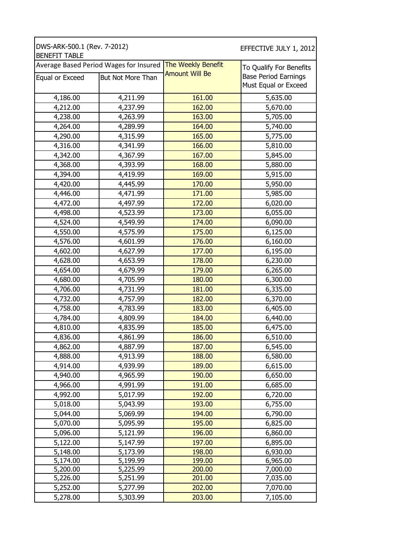| DWS-ARK-500.1 (Rev. 7-2012)<br><b>BENEFIT TABLE</b> |                                        |                       | EFFECTIVE JULY 1, 2012      |  |
|-----------------------------------------------------|----------------------------------------|-----------------------|-----------------------------|--|
|                                                     | Average Based Period Wages for Insured | The Weekly Benefit    | To Qualify For Benefits     |  |
| Equal or Exceed                                     | <b>But Not More Than</b>               | <b>Amount Will Be</b> | <b>Base Period Earnings</b> |  |
|                                                     |                                        |                       | Must Equal or Exceed        |  |
| 4,186.00                                            | 4,211.99                               | 161.00                | 5,635.00                    |  |
|                                                     |                                        | 162.00                |                             |  |
| 4,212.00<br>4,238.00                                | 4,237.99                               | 163.00                | 5,670.00                    |  |
|                                                     | 4,263.99                               |                       | 5,705.00                    |  |
| 4,264.00                                            | 4,289.99                               | 164.00                | 5,740.00                    |  |
| 4,290.00                                            | 4,315.99                               | 165.00                | 5,775.00                    |  |
| 4,316.00                                            | 4,341.99                               | 166.00                | 5,810.00                    |  |
| 4,342.00                                            | 4,367.99                               | 167.00                | 5,845.00                    |  |
| 4,368.00                                            | 4,393.99                               | 168.00                | 5,880.00                    |  |
| 4,394.00                                            | 4,419.99                               | 169.00                | 5,915.00                    |  |
| 4,420.00                                            | 4,445.99                               | 170.00                | 5,950.00                    |  |
| 4,446.00                                            | 4,471.99                               | 171.00                | 5,985.00                    |  |
| 4,472.00                                            | 4,497.99                               | 172.00                | 6,020.00                    |  |
| 4,498.00                                            | 4,523.99                               | 173.00                | 6,055.00                    |  |
| 4,524.00                                            | 4,549.99                               | 174.00                | 6,090.00                    |  |
| 4,550.00                                            | 4,575.99                               | 175.00                | 6,125.00                    |  |
| 4,576.00                                            | 4,601.99                               | 176.00                | 6,160.00                    |  |
| 4,602.00                                            | 4,627.99                               | 177.00                | 6,195.00                    |  |
| 4,628.00                                            | 4,653.99                               | 178.00                | 6,230.00                    |  |
| 4,654.00                                            | 4,679.99                               | 179.00                | 6,265.00                    |  |
| 4,680.00                                            | 4,705.99                               | 180.00                | 6,300.00                    |  |
| 4,706.00                                            | 4,731.99                               | 181.00                | 6,335.00                    |  |
| 4,732.00                                            | 4,757.99                               | 182.00                | 6,370.00                    |  |
| 4,758.00                                            | 4,783.99                               | 183.00                | 6,405.00                    |  |
| 4,784.00                                            | 4,809.99                               | 184.00                | 6,440.00                    |  |
| 4,810.00                                            | 4,835.99                               | 185.00                | 6,475.00                    |  |
| 4,836.00                                            | 4,861.99                               | 186.00                | 6,510.00                    |  |
| 4,862.00                                            | 4,887.99                               | 187.00                | 6,545.00                    |  |
| 4,888.00                                            | 4,913.99                               | 188.00                | 6,580.00                    |  |
| 4,914.00                                            | 4,939.99                               | 189.00                | 6,615.00                    |  |
| 4,940.00                                            | 4,965.99                               | 190.00                | 6,650.00                    |  |
| 4,966.00                                            | 4,991.99                               | 191.00                | 6,685.00                    |  |
| 4,992.00                                            | 5,017.99                               | 192.00                | 6,720.00                    |  |
| 5,018.00                                            | 5,043.99                               | 193.00                | 6,755.00                    |  |
| 5,044.00                                            | 5,069.99                               | 194.00                | 6,790.00                    |  |
| 5,070.00                                            | 5,095.99                               | 195.00                | 6,825.00                    |  |
| 5,096.00                                            | 5,121.99                               | 196.00                | 6,860.00                    |  |
| 5,122.00                                            | 5,147.99                               | 197.00                | 6,895.00                    |  |
|                                                     |                                        |                       |                             |  |
| 5,148.00<br>5,174.00                                | 5,173.99<br>5,199.99                   | 198.00<br>199.00      | 6,930.00<br>6,965.00        |  |
| 5,200.00                                            | 5,225.99                               | 200.00                | 7,000.00                    |  |
| 5,226.00                                            | 5,251.99                               | 201.00                | 7,035.00                    |  |
| 5,252.00                                            | 5,277.99                               | 202.00                | 7,070.00                    |  |
| 5,278.00                                            | 5,303.99                               | 203.00                | 7,105.00                    |  |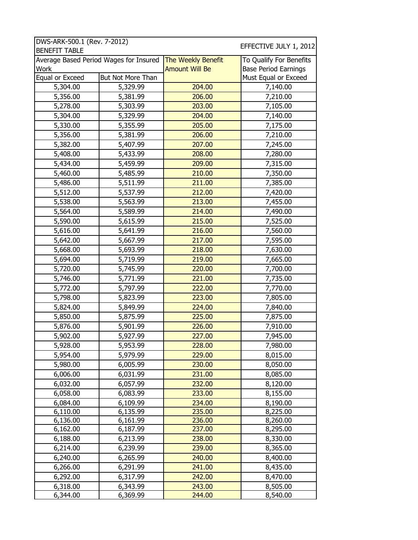| DWS-ARK-500.1 (Rev. 7-2012)            |                   |                       | EFFECTIVE JULY 1, 2012      |
|----------------------------------------|-------------------|-----------------------|-----------------------------|
| <b>BENEFIT TABLE</b>                   |                   |                       |                             |
| Average Based Period Wages for Insured |                   | The Weekly Benefit    | To Qualify For Benefits     |
| Work                                   |                   | <b>Amount Will Be</b> | <b>Base Period Earnings</b> |
| Equal or Exceed                        | But Not More Than |                       | Must Equal or Exceed        |
| 5,304.00                               | 5,329.99          | 204.00                | 7,140.00                    |
| 5,356.00                               | 5,381.99          | 206.00                | 7,210.00                    |
| 5,278.00                               | 5,303.99          | 203.00                | 7,105.00                    |
| 5,304.00                               | 5,329.99          | 204.00                | 7,140.00                    |
| 5,330.00                               | 5,355.99          | 205.00                | 7,175.00                    |
| 5,356.00                               | 5,381.99          | 206.00                | 7,210.00                    |
| 5,382.00                               | 5,407.99          | 207.00                | 7,245.00                    |
| 5,408.00                               | 5,433.99          | 208.00                | 7,280.00                    |
| 5,434.00                               | 5,459.99          | 209.00                | 7,315.00                    |
| 5,460.00                               | 5,485.99          | 210.00                | 7,350.00                    |
| 5,486.00                               | 5,511.99          | 211.00                | 7,385.00                    |
| 5,512.00                               | 5,537.99          | 212.00                | 7,420.00                    |
| 5,538.00                               | 5,563.99          | 213.00                | 7,455.00                    |
| 5,564.00                               | 5,589.99          | 214.00                | 7,490.00                    |
| 5,590.00                               | 5,615.99          | 215.00                | 7,525.00                    |
| 5,616.00                               | 5,641.99          | 216.00                | 7,560.00                    |
| 5,642.00                               | 5,667.99          | 217.00                | 7,595.00                    |
| 5,668.00                               | 5,693.99          | 218.00                | 7,630.00                    |
| 5,694.00                               | 5,719.99          | 219.00                | 7,665.00                    |
| 5,720.00                               | 5,745.99          | 220.00                | 7,700.00                    |
| 5,746.00                               | 5,771.99          | 221.00                | 7,735.00                    |
| 5,772.00                               | 5,797.99          | 222.00                | 7,770.00                    |
| 5,798.00                               | 5,823.99          | 223.00                | 7,805.00                    |
| 5,824.00                               | 5,849.99          | 224.00                | 7,840.00                    |
| 5,850.00                               | 5,875.99          | 225.00                | 7,875.00                    |
| 5,876.00                               | 5,901.99          | 226.00                | 7,910.00                    |
| 5,902.00                               | 5,927.99          | 227.00                | 7,945.00                    |
| 5,928.00                               | 5,953.99          | 228.00                | 7,980.00                    |
| 5,954.00                               | 5,979.99          | 229.00                | 8,015.00                    |
| 5,980.00                               | 6,005.99          | 230.00                | 8,050.00                    |
| 6,006.00                               | 6,031.99          | 231.00                | 8,085.00                    |
| 6,032.00                               | 6,057.99          | 232.00                | 8,120.00                    |
| 6,058.00                               | 6,083.99          | 233.00                | 8,155.00                    |
| 6,084.00                               | 6,109.99          | 234.00                | 8,190.00                    |
| 6,110.00                               | 6,135.99          | 235.00                | 8,225.00                    |
| 6,136.00                               | 6,161.99          | 236.00                | 8,260.00                    |
| 6,162.00                               | 6,187.99          | 237.00                | 8,295.00                    |
| 6,188.00                               | 6,213.99          | 238.00                | 8,330.00                    |
| 6,214.00                               | 6,239.99          | 239.00                | 8,365.00                    |
| 6,240.00                               | 6,265.99          | 240.00                | 8,400.00                    |
| 6,266.00                               | 6,291.99          | 241.00                | 8,435.00                    |
| 6,292.00                               | 6,317.99          | 242.00                | 8,470.00                    |
| 6,318.00                               | 6,343.99          | 243.00                | 8,505.00                    |
| 6,344.00                               | 6,369.99          | 244.00                | 8,540.00                    |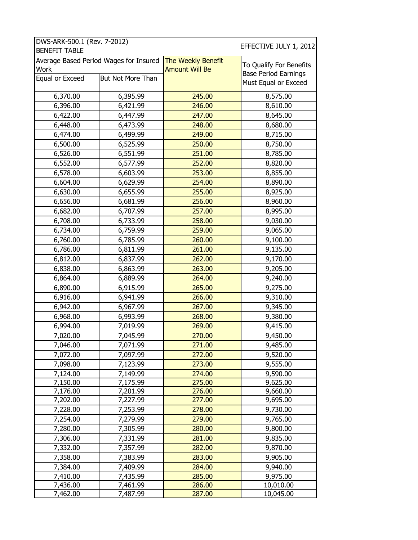| DWS-ARK-500.1 (Rev. 7-2012)            |          |                       | EFFECTIVE JULY 1, 2012      |
|----------------------------------------|----------|-----------------------|-----------------------------|
| <b>BENEFIT TABLE</b>                   |          |                       |                             |
| Average Based Period Wages for Insured |          | The Weekly Benefit    | To Qualify For Benefits     |
| Work                                   |          | <b>Amount Will Be</b> | <b>Base Period Earnings</b> |
| But Not More Than<br>Equal or Exceed   |          |                       | Must Equal or Exceed        |
|                                        |          |                       |                             |
| 6,370.00                               | 6,395.99 | 245.00                | 8,575.00                    |
| 6,396.00                               | 6,421.99 | 246.00                | 8,610.00                    |
| 6,422.00                               | 6,447.99 | 247.00                | 8,645.00                    |
| 6,448.00                               | 6,473.99 | 248.00                | 8,680.00                    |
| 6,474.00                               | 6,499.99 | 249.00                | 8,715.00                    |
| 6,500.00                               | 6,525.99 | 250.00                | 8,750.00                    |
| 6,526.00                               | 6,551.99 | 251.00                | 8,785.00                    |
| 6,552.00                               | 6,577.99 | 252.00                | 8,820.00                    |
| 6,578.00                               | 6,603.99 | 253.00                | 8,855.00                    |
| 6,604.00                               | 6,629.99 | 254.00                | 8,890.00                    |
| 6,630.00                               | 6,655.99 | 255.00                | 8,925.00                    |
| 6,656.00                               | 6,681.99 | 256.00                | 8,960.00                    |
| 6,682.00                               | 6,707.99 | 257.00                | 8,995.00                    |
| 6,708.00                               | 6,733.99 | 258.00                | 9,030.00                    |
| 6,734.00                               | 6,759.99 | 259.00                | 9,065.00                    |
| 6,760.00                               | 6,785.99 | 260.00                | 9,100.00                    |
| 6,786.00                               | 6,811.99 | 261.00                | 9,135.00                    |
| 6,812.00                               | 6,837.99 | 262.00                | 9,170.00                    |
| 6,838.00                               | 6,863.99 | 263.00                | 9,205.00                    |
| 6,864.00                               | 6,889.99 | 264.00                | 9,240.00                    |
| 6,890.00                               | 6,915.99 | 265.00                | 9,275.00                    |
| 6,916.00                               | 6,941.99 | 266.00                | 9,310.00                    |
| 6,942.00                               | 6,967.99 | 267.00                | 9,345.00                    |
| 6,968.00                               | 6,993.99 | 268.00                | 9,380.00                    |
| 6,994.00                               | 7,019.99 | 269.00                | 9,415.00                    |
| 7,020.00                               | 7,045.99 | 270.00                | 9,450.00                    |
| 7,046.00                               | 7,071.99 | 271.00                | 9,485.00                    |
| 7,072.00                               | 7,097.99 | 272.00                | 9,520.00                    |
| 7,098.00                               | 7,123.99 | 273.00                | 9,555.00                    |
| 7,124.00                               | 7,149.99 | 274.00                | 9,590.00                    |
| 7,150.00                               | 7,175.99 | 275.00                | 9,625.00                    |
| 7,176.00                               | 7,201.99 | 276.00                | 9,660.00                    |
| 7,202.00                               | 7,227.99 | 277.00                | 9,695.00                    |
| 7,228.00                               | 7,253.99 | 278.00                | 9,730.00                    |
| 7,254.00                               | 7,279.99 | 279.00                | 9,765.00                    |
| 7,280.00                               | 7,305.99 | 280.00                | 9,800.00                    |
| 7,306.00                               | 7,331.99 | 281.00                | 9,835.00                    |
| 7,332.00                               | 7,357.99 | 282.00                | 9,870.00                    |
| 7,358.00                               | 7,383.99 | 283.00                | 9,905.00                    |
| 7,384.00                               | 7,409.99 | 284.00                | 9,940.00                    |
| 7,410.00                               | 7,435.99 | 285.00                | 9,975.00                    |
| 7,436.00                               | 7,461.99 | 286.00                | 10,010.00                   |
| 7,462.00                               | 7,487.99 | 287.00                | 10,045.00                   |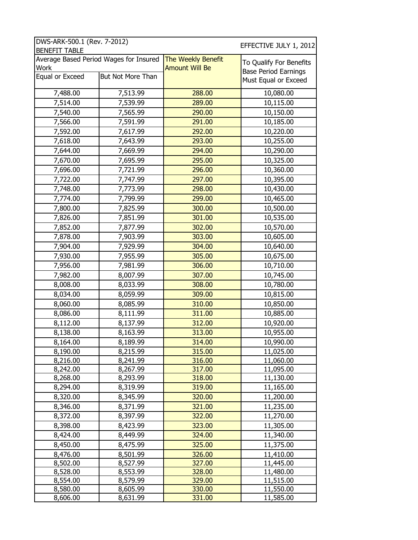| DWS-ARK-500.1 (Rev. 7-2012) |                                        | EFFECTIVE JULY 1, 2012 |                             |  |
|-----------------------------|----------------------------------------|------------------------|-----------------------------|--|
| <b>BENEFIT TABLE</b>        | Average Based Period Wages for Insured | The Weekly Benefit     |                             |  |
| Work                        |                                        | <b>Amount Will Be</b>  | To Qualify For Benefits     |  |
| Equal or Exceed             | But Not More Than                      |                        | <b>Base Period Earnings</b> |  |
|                             |                                        |                        | Must Equal or Exceed        |  |
| 7,488.00                    | 7,513.99                               | 288.00                 | 10,080.00                   |  |
| 7,514.00                    | 7,539.99                               | 289.00                 | 10,115.00                   |  |
| 7,540.00                    | 7,565.99                               | 290.00                 | 10,150.00                   |  |
| 7,566.00                    | 7,591.99                               | 291.00                 | 10,185.00                   |  |
| 7,592.00                    | 7,617.99                               | 292.00                 | 10,220.00                   |  |
| 7,618.00                    | 7,643.99                               | 293.00                 | 10,255.00                   |  |
| 7,644.00                    | 7,669.99                               | 294.00                 | 10,290.00                   |  |
| 7,670.00                    | 7,695.99                               | 295.00                 | 10,325.00                   |  |
| 7,696.00                    | 7,721.99                               | 296.00                 | 10,360.00                   |  |
| 7,722.00                    | 7,747.99                               | 297.00                 | 10,395.00                   |  |
| 7,748.00                    | 7,773.99                               | 298.00                 | 10,430.00                   |  |
| 7,774.00                    | 7,799.99                               | 299.00                 | 10,465.00                   |  |
| 7,800.00                    | 7,825.99                               | 300.00                 | 10,500.00                   |  |
| 7,826.00                    | 7,851.99                               | 301.00                 | 10,535.00                   |  |
| 7,852.00                    | 7,877.99                               | 302.00                 | 10,570.00                   |  |
| 7,878.00                    | 7,903.99                               | 303.00                 | 10,605.00                   |  |
| 7,904.00                    | 7,929.99                               | 304.00                 | 10,640.00                   |  |
| 7,930.00                    | 7,955.99                               | 305.00                 | 10,675.00                   |  |
| 7,956.00                    | 7,981.99                               | 306.00                 | 10,710.00                   |  |
| 7,982.00                    | 8,007.99                               | 307.00                 | 10,745.00                   |  |
| 8,008.00                    | 8,033.99                               | 308.00                 | 10,780.00                   |  |
| 8,034.00                    | 8,059.99                               | 309.00                 | 10,815.00                   |  |
| 8,060.00                    | 8,085.99                               | 310.00                 | 10,850.00                   |  |
| 8,086.00                    | 8,111.99                               | 311.00                 | 10,885.00                   |  |
|                             |                                        | 312.00                 | 10,920.00                   |  |
| 8,112.00                    | 8,137.99                               |                        |                             |  |
| 8,138.00                    | 8,163.99                               | 313.00<br>314.00       | 10,955.00                   |  |
| 8,164.00                    | 8,189.99                               |                        | 10,990.00                   |  |
| 8,190.00                    | 8,215.99<br>8,241.99                   | 315.00<br>316.00       | 11,025.00<br>11,060.00      |  |
| 8,216.00<br>8,242.00        | 8,267.99                               | 317.00                 | 11,095.00                   |  |
| 8,268.00                    | 8,293.99                               | 318.00                 | 11,130.00                   |  |
| 8,294.00                    | 8,319.99                               | 319.00                 | 11,165.00                   |  |
| 8,320.00                    | 8,345.99                               | 320.00                 | 11,200.00                   |  |
| 8,346.00                    | 8,371.99                               | 321.00                 | 11,235.00                   |  |
| 8,372.00                    | 8,397.99                               | 322.00                 | 11,270.00                   |  |
| 8,398.00                    | 8,423.99                               | 323.00                 | 11,305.00                   |  |
|                             |                                        | 324.00                 | 11,340.00                   |  |
| 8,424.00<br>8,450.00        | 8,449.99                               | 325.00                 | 11,375.00                   |  |
|                             | 8,475.99                               |                        |                             |  |
| 8,476.00<br>8,502.00        | 8,501.99<br>8,527.99                   | 326.00<br>327.00       | 11,410.00<br>11,445.00      |  |
| 8,528.00                    | 8,553.99                               | 328.00                 | 11,480.00                   |  |
| 8,554.00                    | 8,579.99                               | 329.00                 | 11,515.00                   |  |
| 8,580.00                    | 8,605.99                               | 330.00                 | 11,550.00                   |  |
| 8,606.00                    | 8,631.99                               | 331.00                 | 11,585.00                   |  |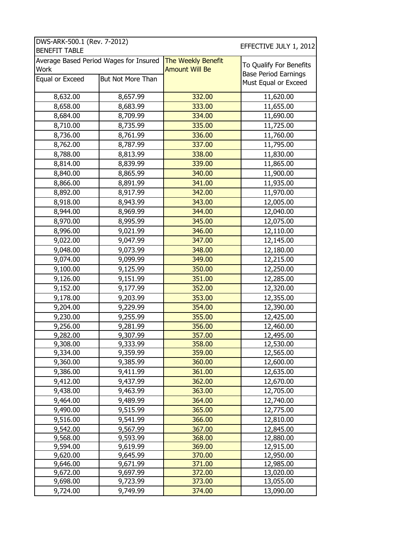|                 | Average Based Period Wages for Insured | The Weekly Benefit    | To Qualify For Benefits     |
|-----------------|----------------------------------------|-----------------------|-----------------------------|
| Work            |                                        | <b>Amount Will Be</b> | <b>Base Period Earnings</b> |
| Equal or Exceed | <b>But Not More Than</b>               |                       | Must Equal or Exceed        |
| 8,632.00        | 8,657.99                               | 332.00                | 11,620.00                   |
| 8,658.00        | 8,683.99                               | 333.00                | 11,655.00                   |
| 8,684.00        | 8,709.99                               | 334.00                | 11,690.00                   |
| 8,710.00        | 8,735.99                               | 335.00                | 11,725.00                   |
| 8,736.00        | 8,761.99                               | 336.00                | 11,760.00                   |
| 8,762.00        | 8,787.99                               | 337.00                | 11,795.00                   |
| 8,788.00        | 8,813.99                               | 338.00                | 11,830.00                   |
| 8,814.00        | 8,839.99                               | 339.00                | 11,865.00                   |
| 8,840.00        | 8,865.99                               | 340.00                | 11,900.00                   |
| 8,866.00        | 8,891.99                               | 341.00                | 11,935.00                   |
| 8,892.00        | 8,917.99                               | 342.00                | 11,970.00                   |
| 8,918.00        | 8,943.99                               | 343.00                | 12,005.00                   |
| 8,944.00        | 8,969.99                               | 344.00                | 12,040.00                   |
| 8,970.00        | 8,995.99                               | 345.00                | 12,075.00                   |
| 8,996.00        | 9,021.99                               | 346.00                | 12,110.00                   |
| 9,022.00        | 9,047.99                               | 347.00                | 12,145.00                   |
| 9,048.00        | 9,073.99                               | 348.00                | 12,180.00                   |
| 9,074.00        | 9,099.99                               | 349.00                | 12,215.00                   |
| 9,100.00        | 9,125.99                               | 350.00                | 12,250.00                   |
| 9,126.00        | 9,151.99                               | 351.00                | 12,285.00                   |
| 9,152.00        | 9,177.99                               | 352.00                | 12,320.00                   |
| 9,178.00        | 9,203.99                               | 353.00                | 12,355.00                   |
| 9,204.00        | 9,229.99                               | 354.00                | 12,390.00                   |
| 9,230.00        | 9,255.99                               | 355.00                | 12,425.00                   |
| 9,256.00        | 9,281.99                               | 356.00                | 12,460.00                   |
| 9,282.00        | 9,307.99                               | 357.00                | 12,495.00                   |
| 9,308.00        | 9,333.99                               | 358.00                | 12,530.00                   |
| 9,334.00        | 9,359.99                               | 359.00                | 12,565.00                   |
| 9,360.00        | 9,385.99                               | 360.00                | 12,600.00                   |
| 9,386.00        | 9,411.99                               | 361.00                | 12,635.00                   |
| 9,412.00        | 9,437.99                               | 362.00                | 12,670.00                   |
| 9,438.00        | 9,463.99                               | 363.00                | 12,705.00                   |
| 9,464.00        | 9,489.99                               | 364.00                | 12,740.00                   |
| 9,490.00        | 9,515.99                               | 365.00                | 12,775.00                   |
| 9,516.00        | 9,541.99                               | 366.00                | 12,810.00                   |
| 9,542.00        | 9,567.99                               | 367.00                | 12,845.00                   |
| 9,568.00        | 9,593.99                               | 368.00                | 12,880.00                   |
| 9,594.00        | 9,619.99                               | 369.00                | 12,915.00                   |
| 9,620.00        | 9,645.99                               | 370.00                | 12,950.00                   |
| 9,646.00        | 9,671.99                               | 371.00                | 12,985.00                   |
| 9,672.00        | 9,697.99                               | 372.00                | 13,020.00                   |
| 9,698.00        | 9,723.99                               | 373.00                | 13,055.00                   |
| 9,724.00        | 9,749.99                               | 374.00                | 13,090.00                   |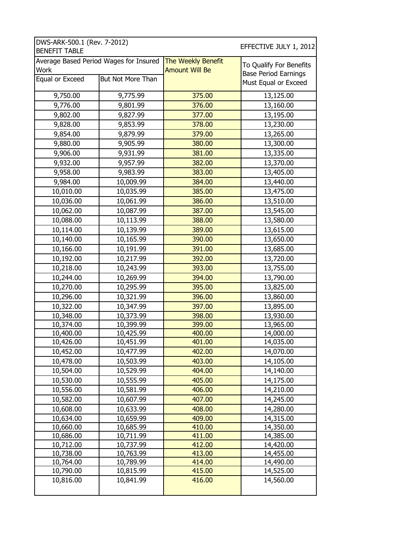| DWS-ARK-500.1 (Rev. 7-2012)<br>EFFECTIVE JULY 1, 2012<br><b>BENEFIT TABLE</b> |                                        |                                             |                                                        |  |  |  |
|-------------------------------------------------------------------------------|----------------------------------------|---------------------------------------------|--------------------------------------------------------|--|--|--|
| <b>Work</b>                                                                   | Average Based Period Wages for Insured | The Weekly Benefit<br><b>Amount Will Be</b> | To Qualify For Benefits<br><b>Base Period Earnings</b> |  |  |  |
| Equal or Exceed                                                               | <b>But Not More Than</b>               |                                             | Must Equal or Exceed                                   |  |  |  |
| 9,750.00                                                                      | 9,775.99                               | 375.00                                      | 13,125.00                                              |  |  |  |
| 9,776.00                                                                      | 9,801.99                               | 376.00                                      | 13,160.00                                              |  |  |  |
| 9,802.00                                                                      | 9,827.99                               | 377.00                                      | 13,195.00                                              |  |  |  |
| 9,828.00                                                                      | 9,853.99                               | 378.00                                      | 13,230.00                                              |  |  |  |
| 9,854.00                                                                      | 9,879.99                               | 379.00                                      | 13,265.00                                              |  |  |  |
| 9,880.00                                                                      | 9,905.99                               | 380.00                                      | 13,300.00                                              |  |  |  |
| 9,906.00                                                                      | 9,931.99                               | 381.00                                      | 13,335.00                                              |  |  |  |
| 9,932.00                                                                      | 9,957.99                               | 382.00                                      | 13,370.00                                              |  |  |  |
| 9,958.00                                                                      | 9,983.99                               | 383.00                                      | 13,405.00                                              |  |  |  |
| 9,984.00                                                                      | 10,009.99                              | 384.00                                      | 13,440.00                                              |  |  |  |
| 10,010.00                                                                     | 10,035.99                              | 385.00                                      | 13,475.00                                              |  |  |  |
| 10,036.00                                                                     | 10,061.99                              | 386.00                                      | 13,510.00                                              |  |  |  |
| 10,062.00                                                                     | 10,087.99                              | 387.00                                      | 13,545.00                                              |  |  |  |
| 10,088.00                                                                     | 10,113.99                              | 388.00                                      | 13,580.00                                              |  |  |  |
| 10,114.00                                                                     | 10,139.99                              | 389.00                                      | 13,615.00                                              |  |  |  |
| 10,140.00                                                                     | 10,165.99                              | 390.00                                      | 13,650.00                                              |  |  |  |
| 10,166.00                                                                     | 10,191.99                              | 391.00                                      | 13,685.00                                              |  |  |  |
| 10,192.00                                                                     | 10,217.99                              | 392.00                                      | 13,720.00                                              |  |  |  |
| 10,218.00                                                                     | 10,243.99                              | 393.00                                      | 13,755.00                                              |  |  |  |
| 10,244.00                                                                     | 10,269.99                              | 394.00                                      | 13,790.00                                              |  |  |  |
| 10,270.00                                                                     | 10,295.99                              | 395.00                                      | 13,825.00                                              |  |  |  |
| 10,296.00                                                                     | 10,321.99                              | 396.00                                      | 13,860.00                                              |  |  |  |
| 10,322.00                                                                     | 10,347.99                              | 397.00                                      | 13,895.00                                              |  |  |  |
| 10,348.00                                                                     | 10,373.99                              | 398.00                                      | 13,930.00                                              |  |  |  |
| 10,374.00                                                                     | 10,399.99                              | 399.00                                      | 13,965.00                                              |  |  |  |
| 10,400.00                                                                     | 10,425.99                              | 400.00                                      | 14,000.00                                              |  |  |  |
| 10,426.00                                                                     | 10,451.99                              | 401.00                                      | 14,035.00                                              |  |  |  |
| 10,452.00                                                                     | 10,477.99                              | 402.00                                      | 14,070.00                                              |  |  |  |
| 10,478.00                                                                     | 10,503.99                              | 403.00                                      | 14,105.00                                              |  |  |  |
| 10,504.00                                                                     | 10,529.99                              | 404.00                                      | 14,140.00                                              |  |  |  |
| 10,530.00                                                                     | 10,555.99                              | 405.00                                      | 14,175.00                                              |  |  |  |
| 10,556.00                                                                     | 10,581.99                              | 406.00                                      | 14,210.00                                              |  |  |  |
| 10,582.00                                                                     | 10,607.99                              | 407.00                                      | 14,245.00                                              |  |  |  |
| 10,608.00                                                                     | 10,633.99                              | 408.00                                      | 14,280.00                                              |  |  |  |
| 10,634.00<br>10,660.00                                                        | 10,659.99<br>10,685.99                 | 409.00<br>410.00                            | 14,315.00<br>14,350.00                                 |  |  |  |
| 10,686.00                                                                     | 10,711.99                              | 411.00                                      | 14,385.00                                              |  |  |  |
| 10,712.00                                                                     | 10,737.99                              | 412.00                                      | 14,420.00                                              |  |  |  |
| 10,738.00                                                                     | 10,763.99                              | 413.00                                      | 14,455.00                                              |  |  |  |
| 10,764.00                                                                     | 10,789.99                              | 414.00                                      | 14,490.00                                              |  |  |  |
| 10,790.00                                                                     | 10,815.99                              | 415.00                                      | 14,525.00                                              |  |  |  |
| 10,816.00                                                                     | 10,841.99                              | 416.00                                      | 14,560.00                                              |  |  |  |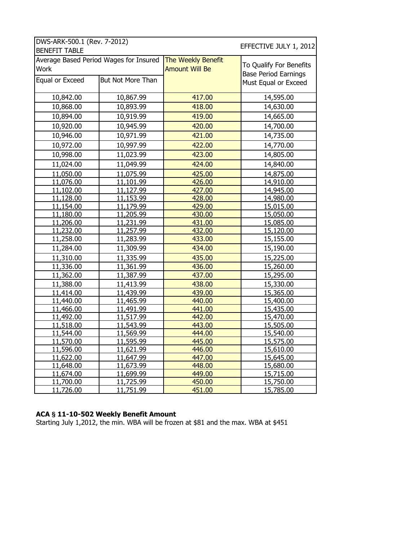| DWS-ARK-500.1 (Rev. 7-2012) |                                        | EFFECTIVE JULY 1, 2012 |                             |
|-----------------------------|----------------------------------------|------------------------|-----------------------------|
| <b>BENEFIT TABLE</b>        |                                        |                        |                             |
|                             | Average Based Period Wages for Insured | The Weekly Benefit     | To Qualify For Benefits     |
| Work                        |                                        | <b>Amount Will Be</b>  | <b>Base Period Earnings</b> |
| Equal or Exceed             | <b>But Not More Than</b>               |                        | Must Equal or Exceed        |
|                             |                                        |                        |                             |
| 10,842.00                   | 10,867.99                              | 417.00                 | 14,595.00                   |
| 10,868.00                   | 10,893.99                              | 418.00                 | 14,630.00                   |
| 10,894.00                   | 10,919.99                              | 419.00                 | 14,665.00                   |
| 10,920.00                   | 10,945.99                              | 420.00                 | 14,700.00                   |
| 10,946.00                   | 10,971.99                              | 421.00                 | 14,735.00                   |
| 10,972.00                   | 10,997.99                              | 422.00                 | 14,770.00                   |
| 10,998.00                   | 11,023.99                              | 423.00                 | 14,805.00                   |
| 11,024.00                   | 11,049.99                              | 424.00                 | 14,840.00                   |
| 11,050.00                   | 11,075.99                              | 425.00                 | 14,875.00                   |
| 11,076.00                   | 11,101.99                              | 426.00                 | 14,910.00                   |
| <u>11,102.00</u>            | 11,127.99                              | 427.00                 | 14,945.00                   |
| 11,128.00                   | 11,153.99                              | 428.00                 | 14,980.00                   |
| 11,154.00                   | 11,179.99                              | 429.00                 | 15,015.00                   |
| 11,180.00                   | 11,205.99                              | 430.00                 | 15,050.00                   |
| 11,206.00                   | 11,231.99                              | 431.00                 | 15,085.00                   |
| 11,232.00                   | 11,257.99                              | 432.00                 | 15,120.00                   |
| 11,258.00                   | 11,283.99                              | 433.00                 | 15,155.00                   |
| 11,284.00                   | 11,309.99                              | 434.00                 | 15,190.00                   |
| 11,310.00                   | 11,335.99                              | 435.00                 | 15,225.00                   |
| 11,336.00                   | 11,361.99                              | 436.00                 | 15,260.00                   |
| 11,362.00                   | 11,387.99                              | 437.00                 | 15,295.00                   |
| 11,388.00                   | 11,413.99                              | 438.00                 | 15,330.00                   |
| 11,414.00                   | 11,439.99                              | 439.00                 | 15,365.00                   |
| 11,440.00                   | 11,465.99                              | 440.00                 | 15,400.00                   |
| 11,466.00                   | 11,491.99                              | 441.00                 | 15,435.00                   |
| 11,492.00                   | 11,517.99                              | 442.00                 | 15,470.00                   |
| 11,518.00                   | 11,543.99                              | 443.00                 | 15,505.00                   |
| 11,544.00                   | 11,569.99                              | 444.00                 | 15,540.00                   |
| 11,570.00                   | 11,595.99                              | 445.00                 | 15,575.00                   |
| 11,596.00                   | 11,621.99                              | 446.00                 | <u>15,610.00</u>            |
| <u>11,622.00</u>            | <u>11,647.99</u>                       | 447.00                 | <u>15,645.00</u>            |
| <u>11,648.00</u>            | 11,673.99                              | 448.00                 | <u>15,680.00</u>            |
| <u>11,674.00</u>            | <u>11,699.99</u>                       | 449.00                 | 15,715.00                   |
| <u>11,700.00</u>            | <u>11,725.99</u>                       | 450.00                 | 15,750.00                   |
| 11,726.00                   | <u>11,751.99</u>                       | 451.00                 | 15,785.00                   |

### **ACA § 11-10-502 Weekly Benefit Amount**

Starting July 1,2012, the min. WBA will be frozen at \$81 and the max. WBA at \$451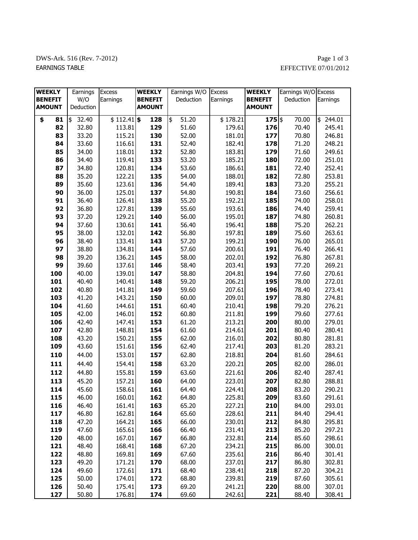## DWS-Ark. 516 (Rev. 7-2012) Page 1 of 3 EARNINGS TABLE EFFECTIVE 07/01/2012

| <b>WEEKLY</b>  | Earnings    | <b>Excess</b> | <b>WEEKLY</b>  | Earnings W/O Excess |          | <b>WEEKLY</b>  | Earnings W/O Excess |              |
|----------------|-------------|---------------|----------------|---------------------|----------|----------------|---------------------|--------------|
| <b>BENEFIT</b> | W/O         | Earnings      | <b>BENEFIT</b> | Deduction           | Earnings | <b>BENEFIT</b> | Deduction           | Earnings     |
| <b>AMOUNT</b>  | Deduction   |               | <b>AMOUNT</b>  |                     |          | <b>AMOUNT</b>  |                     |              |
| \$<br>81       | \$<br>32.40 | $$112.41$ \$  | 128            | \$<br>51.20         | \$178.21 | $175$ \$       | 70.00               | \$<br>244.01 |
| 82             | 32.80       | 113.81        | 129            | 51.60               | 179.61   | 176            | 70.40               | 245.41       |
| 83             | 33.20       | 115.21        | 130            | 52.00               | 181.01   | 177            | 70.80               | 246.81       |
| 84             | 33.60       | 116.61        | 131            | 52.40               | 182.41   | 178            | 71.20               | 248.21       |
| 85             | 34.00       | 118.01        | 132            | 52.80               | 183.81   | 179            | 71.60               | 249.61       |
| 86             | 34.40       | 119.41        | 133            | 53.20               | 185.21   | 180            | 72.00               | 251.01       |
| 87             | 34.80       | 120.81        | 134            | 53.60               | 186.61   | 181            | 72.40               | 252.41       |
| 88             | 35.20       | 122.21        | 135            | 54.00               | 188.01   | 182            | 72.80               | 253.81       |
| 89             | 35.60       | 123.61        | 136            | 54.40               | 189.41   | 183            | 73.20               | 255.21       |
| 90             | 36.00       | 125.01        | 137            | 54.80               | 190.81   | 184            | 73.60               | 256.61       |
| 91             | 36.40       | 126.41        | 138            | 55.20               | 192.21   | 185            | 74.00               | 258.01       |
| 92             | 36.80       | 127.81        | 139            | 55.60               | 193.61   | 186            | 74.40               | 259.41       |
| 93             | 37.20       | 129.21        | 140            | 56.00               | 195.01   | 187            | 74.80               | 260.81       |
| 94             | 37.60       | 130.61        | 141            | 56.40               | 196.41   | 188            | 75.20               | 262.21       |
| 95             | 38.00       | 132.01        | 142            | 56.80               | 197.81   | 189            | 75.60               | 263.61       |
| 96             | 38.40       | 133.41        | 143            | 57.20               | 199.21   | 190            | 76.00               | 265.01       |
| 97             | 38.80       | 134.81        | 144            | 57.60               | 200.61   | 191            | 76.40               | 266.41       |
| 98             | 39.20       | 136.21        | 145            | 58.00               | 202.01   | 192            | 76.80               | 267.81       |
| 99             | 39.60       | 137.61        | 146            | 58.40               | 203.41   | 193            | 77.20               | 269.21       |
| 100            | 40.00       | 139.01        | 147            | 58.80               | 204.81   | 194            | 77.60               | 270.61       |
| 101            | 40.40       | 140.41        | 148            | 59.20               | 206.21   | 195            | 78.00               | 272.01       |
| 102            | 40.80       | 141.81        | 149            | 59.60               | 207.61   | 196            | 78.40               | 273.41       |
| 103            | 41.20       | 143.21        | 150            | 60.00               | 209.01   | 197            | 78.80               | 274.81       |
| 104            | 41.60       | 144.61        | 151            | 60.40               | 210.41   | 198            | 79.20               | 276.21       |
| 105            | 42.00       | 146.01        | 152            | 60.80               | 211.81   | 199            | 79.60               | 277.61       |
| 106            | 42.40       | 147.41        | 153            | 61.20               | 213.21   | 200            | 80.00               | 279.01       |
| 107            | 42.80       | 148.81        | 154            | 61.60               | 214.61   | 201            | 80.40               | 280.41       |
| 108            | 43.20       | 150.21        | 155            | 62.00               | 216.01   | 202            | 80.80               | 281.81       |
| 109            | 43.60       | 151.61        | 156            | 62.40               | 217.41   | 203            | 81.20               | 283.21       |
| 110            | 44.00       | 153.01        | 157            | 62.80               | 218.81   | 204            | 81.60               | 284.61       |
| 111            | 44.40       | 154.41        | 158            | 63.20               | 220.21   | 205            | 82.00               | 286.01       |
| 112            | 44.80       | 155.81        | 159            | 63.60               | 221.61   | 206            | 82.40               | 287.41       |
| 113            | 45.20       | 157.21        | 160            | 64.00               | 223.01   | 207            | 82.80               | 288.81       |
| 114            | 45.60       | 158.61        | 161            | 64.40               | 224.41   | 208            | 83.20               | 290.21       |
| 115            | 46.00       | 160.01        | 162            | 64.80               | 225.81   | 209            | 83.60               | 291.61       |
| 116            | 46.40       | 161.41        | 163            | 65.20               | 227.21   | 210            | 84.00               | 293.01       |
| 117            | 46.80       | 162.81        | 164            | 65.60               | 228.61   | 211            | 84.40               | 294.41       |
| 118            | 47.20       | 164.21        | 165            | 66.00               | 230.01   | 212            | 84.80               | 295.81       |
| 119            | 47.60       | 165.61        | 166            | 66.40               | 231.41   | 213            | 85.20               | 297.21       |
| 120            | 48.00       | 167.01        | 167            | 66.80               | 232.81   | 214            | 85.60               | 298.61       |
| 121            | 48.40       | 168.41        | 168            | 67.20               | 234.21   | 215            | 86.00               | 300.01       |
| 122            | 48.80       | 169.81        | 169            | 67.60               | 235.61   | 216            | 86.40               | 301.41       |
| 123            | 49.20       | 171.21        | 170            | 68.00               | 237.01   | 217            | 86.80               | 302.81       |
| 124            | 49.60       | 172.61        | 171            | 68.40               | 238.41   | 218            | 87.20               | 304.21       |
| 125            | 50.00       | 174.01        | 172            | 68.80               | 239.81   | 219            | 87.60               | 305.61       |
| 126            | 50.40       | 175.41        | 173            | 69.20               | 241.21   | 220            | 88.00               | 307.01       |
| 127            | 50.80       | 176.81        | 174            | 69.60               | 242.61   | 221            | 88.40               | 308.41       |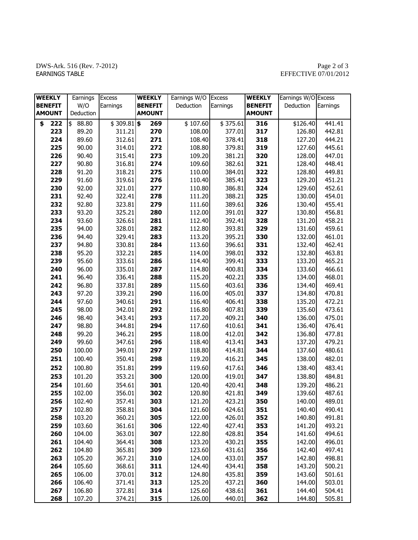## DWS-Ark. 516 (Rev. 7-2012)<br>EARNINGS TABLE

# $\begin{array}{c} \text{Page 2 of 3}\\ \text{EFFECTIVE 07/01/2012} \end{array}$

| <b>WEEKLY</b>  | Earnings               | <b>Excess</b> | <b>WEEKLY</b>  | Earnings W/O | <b>Excess</b> | <b>WEEKLY</b>  | Earnings W/O Excess |          |
|----------------|------------------------|---------------|----------------|--------------|---------------|----------------|---------------------|----------|
| <b>BENEFIT</b> | W/O                    | Earnings      | <b>BENEFIT</b> | Deduction    | Earnings      | <b>BENEFIT</b> | Deduction           | Earnings |
| <b>AMOUNT</b>  | Deduction              |               | <b>AMOUNT</b>  |              |               | <b>AMOUNT</b>  |                     |          |
| \$<br>222      | $\frac{1}{2}$<br>88.80 | $$309.81]$ \$ | 269            | \$107.60     | \$375.61      | 316            | \$126.40            | 441.41   |
| 223            | 89.20                  | 311.21        | 270            | 108.00       | 377.01        | 317            | 126.80              | 442.81   |
| 224            | 89.60                  | 312.61        | 271            | 108.40       | 378.41        | 318            | 127.20              | 444.21   |
| 225            | 90.00                  | 314.01        | 272            | 108.80       | 379.81        | 319            | 127.60              | 445.61   |
| 226            | 90.40                  | 315.41        | 273            | 109.20       | 381.21        | 320            | 128.00              | 447.01   |
| 227            | 90.80                  | 316.81        | 274            | 109.60       | 382.61        | 321            | 128.40              | 448.41   |
| 228            | 91.20                  | 318.21        | 275            | 110.00       | 384.01        | 322            | 128.80              | 449.81   |
| 229            | 91.60                  | 319.61        | 276            | 110.40       | 385.41        | 323            | 129.20              | 451.21   |
| 230            | 92.00                  | 321.01        | 277            | 110.80       | 386.81        | 324            | 129.60              | 452.61   |
| 231            | 92.40                  | 322.41        | 278            | 111.20       | 388.21        | 325            | 130.00              | 454.01   |
| 232            | 92.80                  | 323.81        | 279            | 111.60       | 389.61        | 326            | 130.40              | 455.41   |
| 233            | 93.20                  | 325.21        | 280            | 112.00       | 391.01        | 327            | 130.80              | 456.81   |
| 234            | 93.60                  | 326.61        | 281            | 112.40       | 392.41        | 328            | 131.20              | 458.21   |
| 235            | 94.00                  | 328.01        | 282            | 112.80       | 393.81        | 329            | 131.60              | 459.61   |
| 236            | 94.40                  | 329.41        | 283            | 113.20       | 395.21        | 330            | 132.00              | 461.01   |
| 237            | 94.80                  | 330.81        | 284            | 113.60       | 396.61        | 331            | 132.40              | 462.41   |
| 238            | 95.20                  | 332.21        | 285            | 114.00       | 398.01        | 332            | 132.80              | 463.81   |
| 239            | 95.60                  | 333.61        | 286            | 114.40       | 399.41        | 333            | 133.20              | 465.21   |
| 240            | 96.00                  | 335.01        | 287            | 114.80       | 400.81        | 334            | 133.60              | 466.61   |
| 241            | 96.40                  | 336.41        | 288            | 115.20       | 402.21        | 335            | 134.00              | 468.01   |
| 242            | 96.80                  | 337.81        | 289            | 115.60       | 403.61        | 336            | 134.40              | 469.41   |
| 243            | 97.20                  | 339.21        | 290            | 116.00       | 405.01        | 337            | 134.80              | 470.81   |
| 244            | 97.60                  | 340.61        | 291            | 116.40       | 406.41        | 338            | 135.20              | 472.21   |
| 245            | 98.00                  | 342.01        | 292            | 116.80       | 407.81        | 339            | 135.60              | 473.61   |
| 246            | 98.40                  | 343.41        | 293            | 117.20       | 409.21        | 340            | 136.00              | 475.01   |
| 247            | 98.80                  | 344.81        | 294            | 117.60       | 410.61        | 341            | 136.40              | 476.41   |
| 248            | 99.20                  | 346.21        | 295            | 118.00       | 412.01        | 342            | 136.80              | 477.81   |
| 249            | 99.60                  | 347.61        | 296            | 118.40       | 413.41        | 343            | 137.20              | 479.21   |
| 250            | 100.00                 | 349.01        | 297            | 118.80       | 414.81        | 344            | 137.60              | 480.61   |
| 251            | 100.40                 | 350.41        | 298            | 119.20       | 416.21        | 345            | 138.00              | 482.01   |
| 252            | 100.80                 | 351.81        | 299            | 119.60       | 417.61        | 346            | 138.40              | 483.41   |
| 253            | 101.20                 | 353.21        | 300            | 120.00       | 419.01        | 347            | 138.80              | 484.81   |
| 254            | 101.60                 | 354.61        | 301            | 120.40       | 420.41        | 348            | 139.20              | 486.21   |
| 255            | 102.00                 | 356.01        | 302            | 120.80       | 421.81        | 349            | 139.60              | 487.61   |
| 256            | 102.40                 | 357.41        | 303            | 121.20       | 423.21        | 350            | 140.00              | 489.01   |
| 257            | 102.80                 | 358.81        | 304            | 121.60       | 424.61        | 351            | 140.40              | 490.41   |
| 258            | 103.20                 | 360.21        | 305            | 122.00       | 426.01        | 352            | 140.80              | 491.81   |
| 259            | 103.60                 | 361.61        | 306            | 122.40       | 427.41        | 353            | 141.20              | 493.21   |
| 260            | 104.00                 | 363.01        | 307            | 122.80       | 428.81        | 354            | 141.60              | 494.61   |
| 261            | 104.40                 | 364.41        | 308            | 123.20       | 430.21        | 355            | 142.00              | 496.01   |
| 262            | 104.80                 | 365.81        | 309            | 123.60       | 431.61        | 356            | 142.40              | 497.41   |
| 263            | 105.20                 | 367.21        | 310            | 124.00       | 433.01        | 357            | 142.80              | 498.81   |
| 264            | 105.60                 | 368.61        | 311            | 124.40       | 434.41        | 358            | 143.20              | 500.21   |
| 265            | 106.00                 | 370.01        | 312            | 124.80       | 435.81        | 359            | 143.60              | 501.61   |
| 266            | 106.40                 | 371.41        | 313            | 125.20       | 437.21        | 360            | 144.00              | 503.01   |
| 267            | 106.80                 | 372.81        | 314            | 125.60       | 438.61        | 361            | 144.40              | 504.41   |
| 268            | 107.20                 | 374.21        | 315            | 126.00       | 440.01        | 362            | 144.80              | 505.81   |